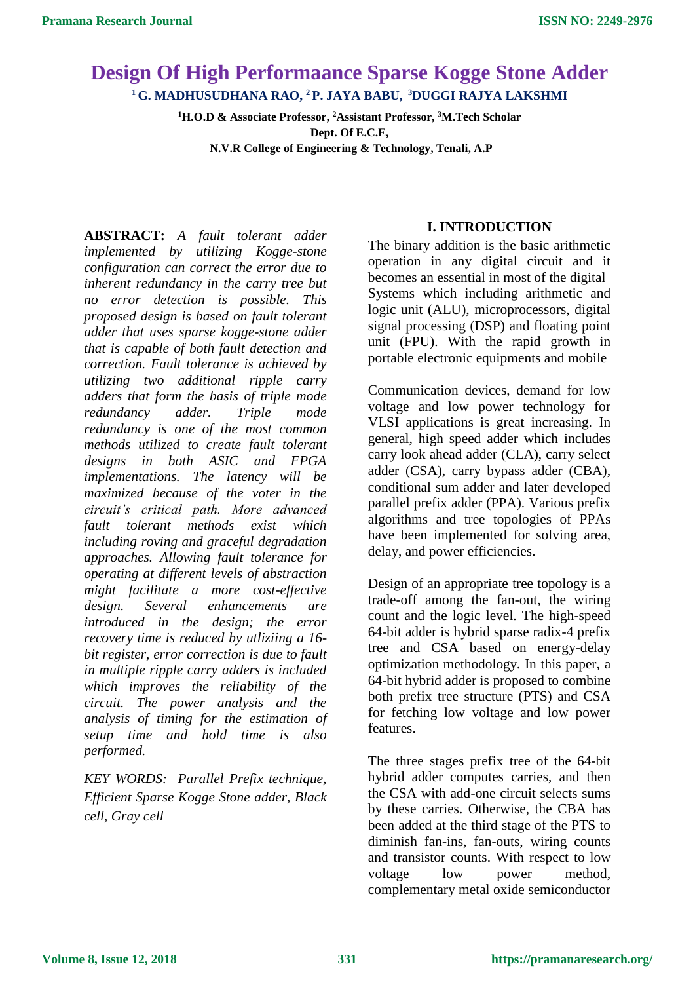# **Design Of High Performaance Sparse Kogge Stone Adder <sup>1</sup>G. MADHUSUDHANA RAO, <sup>2</sup>P. JAYA BABU, <sup>3</sup>DUGGI RAJYA LAKSHMI**

**<sup>1</sup>H.O.D & Associate Professor, <sup>2</sup>Assistant Professor, <sup>3</sup>M.Tech Scholar Dept. Of E.C.E, N.V.R College of Engineering & Technology, Tenali, A.P**

**ABSTRACT:** *A fault tolerant adder implemented by utilizing Kogge-stone configuration can correct the error due to inherent redundancy in the carry tree but no error detection is possible. This proposed design is based on fault tolerant adder that uses sparse kogge-stone adder that is capable of both fault detection and correction. Fault tolerance is achieved by utilizing two additional ripple carry adders that form the basis of triple mode redundancy adder. Triple mode redundancy is one of the most common methods utilized to create fault tolerant designs in both ASIC and FPGA implementations. The latency will be maximized because of the voter in the circuit's critical path. More advanced fault tolerant methods exist which including roving and graceful degradation approaches. Allowing fault tolerance for operating at different levels of abstraction might facilitate a more cost-effective design. Several enhancements are introduced in the design; the error recovery time is reduced by utliziing a 16 bit register, error correction is due to fault in multiple ripple carry adders is included which improves the reliability of the circuit. The power analysis and the analysis of timing for the estimation of setup time and hold time is also performed.*

*KEY WORDS: Parallel Prefix technique, Efficient Sparse Kogge Stone adder, Black cell, Gray cell*

### **I. INTRODUCTION**

The binary addition is the basic arithmetic operation in any digital circuit and it becomes an essential in most of the digital Systems which including arithmetic and logic unit (ALU), microprocessors, digital signal processing (DSP) and floating point unit (FPU). With the rapid growth in portable electronic equipments and mobile

Communication devices, demand for low voltage and low power technology for VLSI applications is great increasing. In general, high speed adder which includes carry look ahead adder (CLA), carry select adder (CSA), carry bypass adder (CBA), conditional sum adder and later developed parallel prefix adder (PPA). Various prefix algorithms and tree topologies of PPAs have been implemented for solving area, delay, and power efficiencies.

Design of an appropriate tree topology is a trade-off among the fan-out, the wiring count and the logic level. The high-speed 64-bit adder is hybrid sparse radix-4 prefix tree and CSA based on energy-delay optimization methodology. In this paper, a 64-bit hybrid adder is proposed to combine both prefix tree structure (PTS) and CSA for fetching low voltage and low power features.

The three stages prefix tree of the 64-bit hybrid adder computes carries, and then the CSA with add-one circuit selects sums by these carries. Otherwise, the CBA has been added at the third stage of the PTS to diminish fan-ins, fan-outs, wiring counts and transistor counts. With respect to low voltage low power method, complementary metal oxide semiconductor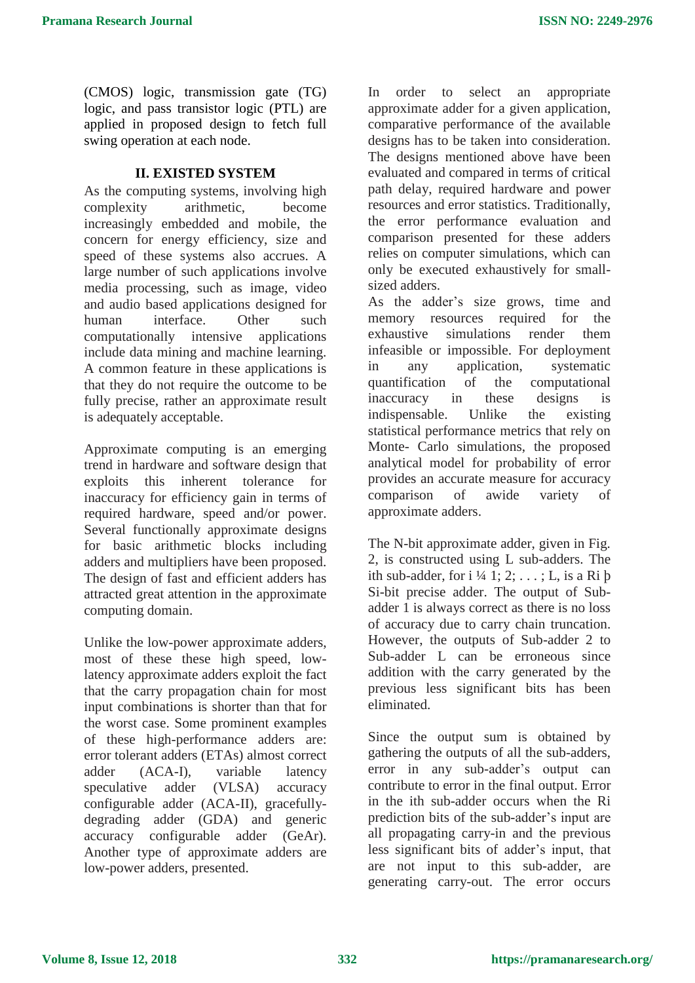(CMOS) logic, transmission gate (TG) logic, and pass transistor logic (PTL) are applied in proposed design to fetch full swing operation at each node.

# **II. EXISTED SYSTEM**

As the computing systems, involving high complexity arithmetic, become increasingly embedded and mobile, the concern for energy efficiency, size and speed of these systems also accrues. A large number of such applications involve media processing, such as image, video and audio based applications designed for human interface. Other such computationally intensive applications include data mining and machine learning. A common feature in these applications is that they do not require the outcome to be fully precise, rather an approximate result is adequately acceptable.

Approximate computing is an emerging trend in hardware and software design that exploits this inherent tolerance for inaccuracy for efficiency gain in terms of required hardware, speed and/or power. Several functionally approximate designs for basic arithmetic blocks including adders and multipliers have been proposed. The design of fast and efficient adders has attracted great attention in the approximate computing domain.

Unlike the low-power approximate adders, most of these these high speed, lowlatency approximate adders exploit the fact that the carry propagation chain for most input combinations is shorter than that for the worst case. Some prominent examples of these high-performance adders are: error tolerant adders (ETAs) almost correct adder (ACA-I), variable latency speculative adder (VLSA) accuracy configurable adder (ACA-II), gracefullydegrading adder (GDA) and generic accuracy configurable adder (GeAr). Another type of approximate adders are low-power adders, presented.

In order to select an appropriate approximate adder for a given application, comparative performance of the available designs has to be taken into consideration. The designs mentioned above have been evaluated and compared in terms of critical path delay, required hardware and power resources and error statistics. Traditionally, the error performance evaluation and comparison presented for these adders relies on computer simulations, which can only be executed exhaustively for smallsized adders.

As the adder's size grows, time and memory resources required for the exhaustive simulations render them infeasible or impossible. For deployment in any application, systematic quantification of the computational inaccuracy in these designs is indispensable. Unlike the existing statistical performance metrics that rely on Monte- Carlo simulations, the proposed analytical model for probability of error provides an accurate measure for accuracy comparison of awide variety of approximate adders.

The N-bit approximate adder, given in Fig. 2, is constructed using L sub-adders. The ith sub-adder, for i  $\frac{1}{4}$  1; 2; ...; L, is a Ri b Si-bit precise adder. The output of Subadder 1 is always correct as there is no loss of accuracy due to carry chain truncation. However, the outputs of Sub-adder 2 to Sub-adder L can be erroneous since addition with the carry generated by the previous less significant bits has been eliminated.

Since the output sum is obtained by gathering the outputs of all the sub-adders, error in any sub-adder's output can contribute to error in the final output. Error in the ith sub-adder occurs when the Ri prediction bits of the sub-adder's input are all propagating carry-in and the previous less significant bits of adder's input, that are not input to this sub-adder, are generating carry-out. The error occurs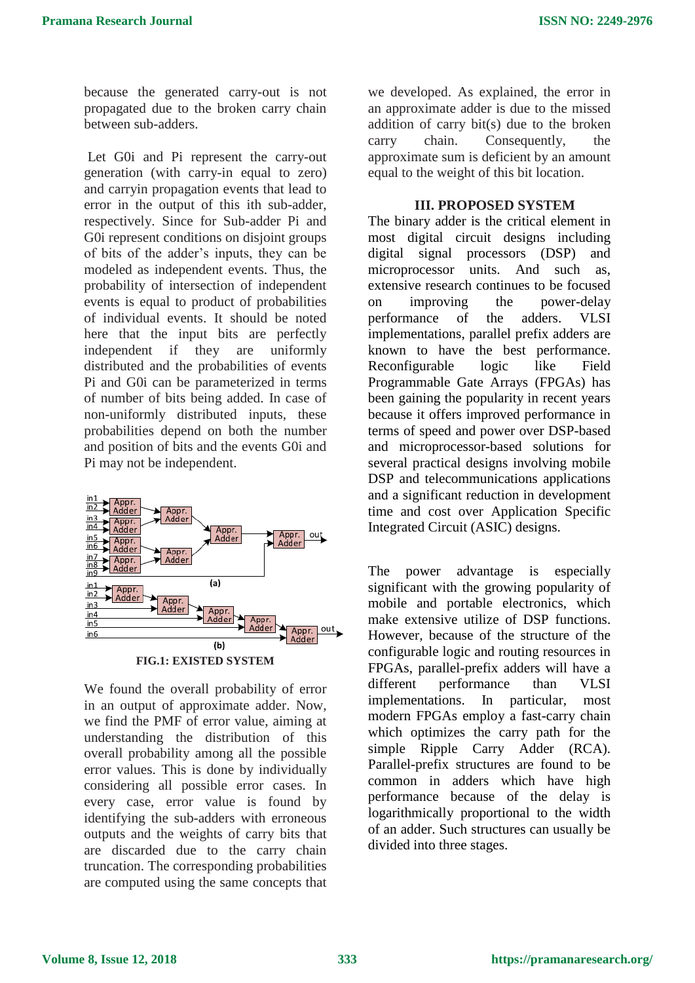because the generated carry-out is not propagated due to the broken carry chain between sub-adders.

Let G0i and Pi represent the carry-out generation (with carry-in equal to zero) and carryin propagation events that lead to error in the output of this ith sub-adder, respectively. Since for Sub-adder Pi and G0i represent conditions on disjoint groups of bits of the adder's inputs, they can be modeled as independent events. Thus, the probability of intersection of independent events is equal to product of probabilities of individual events. It should be noted here that the input bits are perfectly independent if they are uniformly distributed and the probabilities of events Pi and G0i can be parameterized in terms of number of bits being added. In case of non-uniformly distributed inputs, these probabilities depend on both the number and position of bits and the events G0i and Pi may not be independent.



We found the overall probability of error in an output of approximate adder. Now, we find the PMF of error value, aiming at understanding the distribution of this overall probability among all the possible error values. This is done by individually considering all possible error cases. In every case, error value is found by identifying the sub-adders with erroneous outputs and the weights of carry bits that are discarded due to the carry chain truncation. The corresponding probabilities are computed using the same concepts that we developed. As explained, the error in an approximate adder is due to the missed addition of carry bit(s) due to the broken carry chain. Consequently, the approximate sum is deficient by an amount equal to the weight of this bit location.

#### **III. PROPOSED SYSTEM**

The binary adder is the critical element in most digital circuit designs including digital signal processors (DSP) and microprocessor units. And such as, extensive research continues to be focused on improving the power-delay performance of the adders. VLSI implementations, parallel prefix adders are known to have the best performance. Reconfigurable logic like Field Programmable Gate Arrays (FPGAs) has been gaining the popularity in recent years because it offers improved performance in terms of speed and power over DSP-based and microprocessor-based solutions for several practical designs involving mobile DSP and telecommunications applications and a significant reduction in development time and cost over Application Specific Integrated Circuit (ASIC) designs.

The power advantage is especially significant with the growing popularity of mobile and portable electronics, which make extensive utilize of DSP functions. However, because of the structure of the configurable logic and routing resources in FPGAs, parallel-prefix adders will have a different performance than VLSI implementations. In particular, most modern FPGAs employ a fast-carry chain which optimizes the carry path for the simple Ripple Carry Adder (RCA). Parallel-prefix structures are found to be common in adders which have high performance because of the delay is logarithmically proportional to the width of an adder. Such structures can usually be divided into three stages.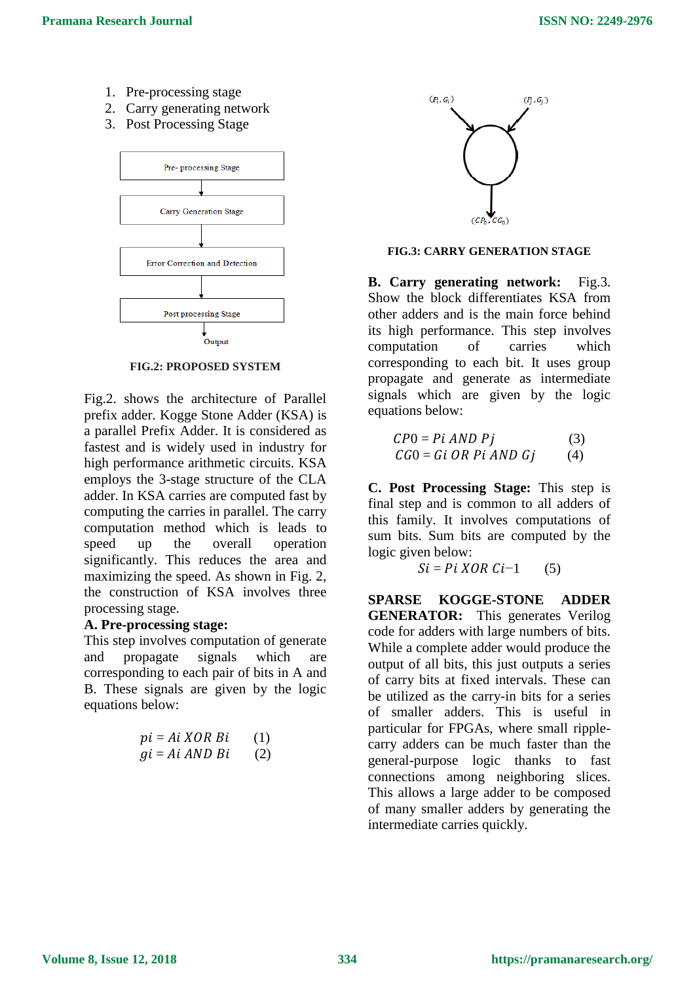- 1. Pre-processing stage
- 2. Carry generating network
- 3. Post Processing Stage



**FIG.2: PROPOSED SYSTEM**

Fig.2. shows the architecture of Parallel prefix adder. Kogge Stone Adder (KSA) is a parallel Prefix Adder. It is considered as fastest and is widely used in industry for high performance arithmetic circuits. KSA employs the 3-stage structure of the CLA adder. In KSA carries are computed fast by computing the carries in parallel. The carry computation method which is leads to speed up the overall operation significantly. This reduces the area and maximizing the speed. As shown in Fig. 2, the construction of KSA involves three processing stage.

## **A. Pre-processing stage:**

This step involves computation of generate and propagate signals which are corresponding to each pair of bits in A and B. These signals are given by the logic equations below:

$$
pi = Ai XOR Bi
$$
 (1)  

$$
gi = Ai AND Bi
$$
 (2)



### **FIG.3: CARRY GENERATION STAGE**

**B. Carry generating network:** Fig.3. Show the block differentiates KSA from other adders and is the main force behind its high performance. This step involves computation of carries which corresponding to each bit. It uses group propagate and generate as intermediate signals which are given by the logic equations below:

| $CP0 = Pi$ AND Pj       | (3) |
|-------------------------|-----|
| $CG0 = Gi OR Pi AND Gj$ | (4) |

**C. Post Processing Stage:** This step is final step and is common to all adders of this family. It involves computations of sum bits. Sum bits are computed by the logic given below:

 $Si = Pi XOR Ci-1$  (5)

**SPARSE KOGGE-STONE ADDER GENERATOR:** This generates Verilog code for adders with large numbers of bits. While a complete adder would produce the output of all bits, this just outputs a series of carry bits at fixed intervals. These can be utilized as the carry-in bits for a series of smaller adders. This is useful in particular for FPGAs, where small ripplecarry adders can be much faster than the general-purpose logic thanks to fast connections among neighboring slices. This allows a large adder to be composed of many smaller adders by generating the intermediate carries quickly.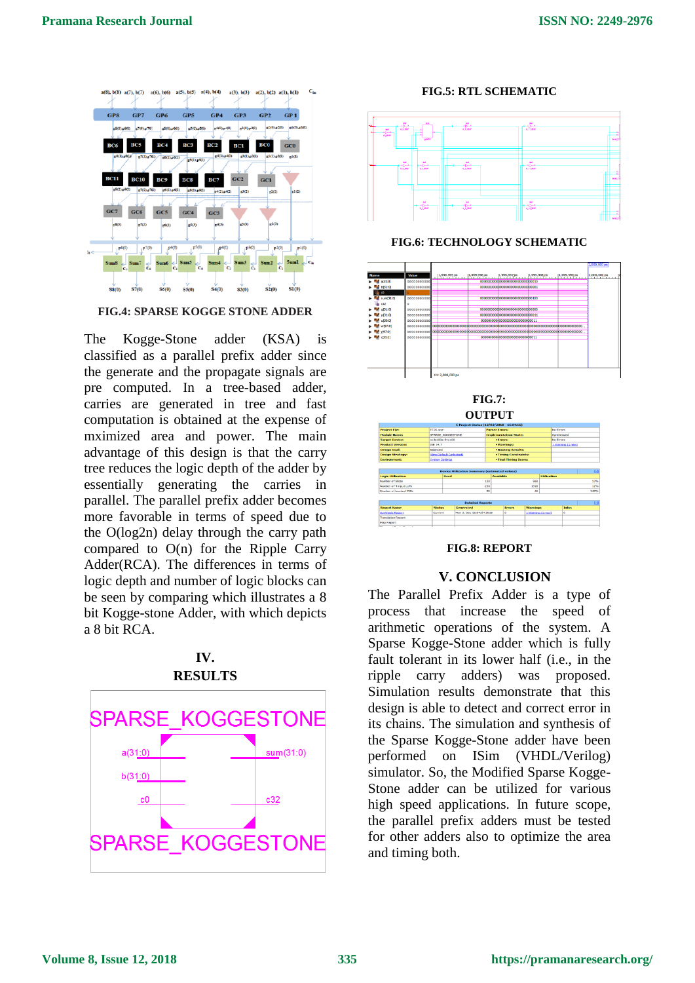

**FIG.4: SPARSE KOGGE STONE ADDER**

The Kogge-Stone adder (KSA) is classified as a parallel prefix adder since the generate and the propagate signals are pre computed. In a tree-based adder, carries are generated in tree and fast computation is obtained at the expense of mximized area and power. The main advantage of this design is that the carry tree reduces the logic depth of the adder by essentially generating the carries in parallel. The parallel prefix adder becomes more favorable in terms of speed due to the O(log2n) delay through the carry path compared to  $O(n)$  for the Ripple Carry Adder(RCA). The differences in terms of logic depth and number of logic blocks can be seen by comparing which illustrates a 8 bit Kogge-stone Adder, with which depicts a 8 bit RCA.



#### **FIG.5: RTL SCHEMATIC**



**FIG.6: TECHNOLOGY SCHEMATIC**



#### **FIG.8: REPORT**

#### **V. CONCLUSION**

The Parallel Prefix Adder is a type of process that increase the speed of arithmetic operations of the system. A Sparse Kogge-Stone adder which is fully fault tolerant in its lower half (i.e., in the ripple carry adders) was proposed. Simulation results demonstrate that this design is able to detect and correct error in its chains. The simulation and synthesis of the Sparse Kogge-Stone adder have been performed on ISim (VHDL/Verilog) simulator. So, the Modified Sparse Kogge-Stone adder can be utilized for various high speed applications. In future scope, the parallel prefix adders must be tested for other adders also to optimize the area and timing both.